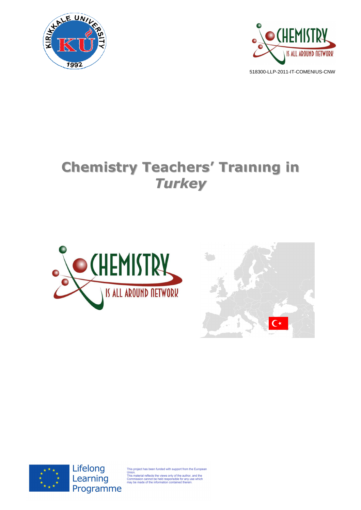



# **Chemistry Teachers' Traınıng in** *Turkey*







Lifelong Learning Programme

This project has been funded with support from the European<br>Union.<br>This material reflects the views only of the author, and the<br>Commission cannot be held responsible for any use which<br>may be made of the information contain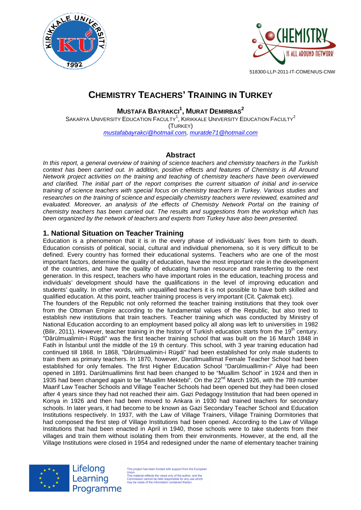



# **CHEMISTRY TEACHERS' TRAINING IN TURKEY**

**MUSTAFA BAYRAKCI<sup>1</sup> , MURAT DEMIRBAS<sup>2</sup>**

SAKARYA UNIVERSITY EDUCATION FACULTY<sup>1</sup>, KIRIKKALE UNIVERSITY EDUCATION FACULTY<sup>2</sup> (TURKEY) mustafabayrakci@hotmail.com, muratde71@hotmail.com

# **Abstract**

In this report, a general overview of training of science teachers and chemistry teachers in the Turkish context has been carried out. In addition, positive effects and features of Chemistry is All Around Network project activities on the training and teaching of chemistry teachers have been overviewed and clarified. The initial part of the report comprises the current situation of initial and in-service training of science teachers with special focus on chemistry teachers in Turkey. Various studies and researches on the training of science and especially chemistry teachers were reviewed, examined and evaluated. Moreover, an analysis of the effects of Chemistry Network Portal on the training of chemistry teachers has been carried out. The results and suggestions from the workshop which has been organized by the network of teachers and experts from Turkey have also been presented.

# **1. National Situation on Teacher Training**

Education is a phenomenon that it is in the every phase of individuals' lives from birth to death. Education consists of political, social, cultural and individual phenomena, so it is very difficult to be defined. Every country has formed their educational systems. Teachers who are one of the most important factors, determine the quality of education, have the most important role in the development of the countries, and have the quality of educating human resource and transferring to the next generation. In this respect, teachers who have important roles in the education, teaching process and individuals' development should have the qualifications in the level of improving education and students' quality. In other words, with unqualified teachers it is not possible to have both skilled and qualified education. At this point, teacher training process is very important (Cit. Çakmak etc).

The founders of the Republic not only reformed the teacher training institutions that they took over from the Ottoman Empire according to the fundamental values of the Republic, but also tried to establish new institutions that train teachers. Teacher training which was conducted by Ministry of National Education according to an employment based policy all along was left to universities in 1982 (Bilir, 2011). However, teacher training in the history of Turkish education starts from the 19<sup>th</sup> century. "Dârülmualimin-i Rüşdi" was the first teacher training school that was built on the 16 March 1848 in Fatih in İstanbul until the middle of the 19 th century. This school, with 3 year training education had continued till 1868. In 1868, "Dârülmualimin-i Rüşdi" had been established for only male students to train them as primary teachers. In 1870, however, Darüllmuallimat Female Teacher School had been established for only females. The first Higher Education School "Darülmuallimin-i" Aliye had been opened in 1891. Darülmuallimins first had been changed to be "Muallim School" in 1924 and then in 1935 had been changed again to be "Muallim Mektebi". On the  $22^{nd}$  March 1926, with the 789 number Maarif Law Teacher Schools and Village Teacher Schools had been opened but they had been closed after 4 years since they had not reached their aim. Gazi Pedagogy Institution that had been opened in Konya in 1926 and then had been moved to Ankara in 1930 had trained teachers for secondary schools. In later years, it had become to be known as Gazi Secondary Teacher School and Education Institutions respectively. In 1937, with the Law of Village Trainers, Village Training Dormitories that had composed the first step of Village Institutions had been opened. According to the Law of Village Institutions that had been enacted in April in 1940, those schools were to take students from their villages and train them without isolating them from their environments. However, at the end, all the Village Institutions were closed in 1954 and redesigned under the name of elementary teacher training



Lifelong Learning Programme

This project has been funded with support from the European This project has been funded with support from the Europe<br>Union.<br>This material reflects the views only of the author, and the<br>Commission cannot be held responsible for any use which<br>may be made of the information contained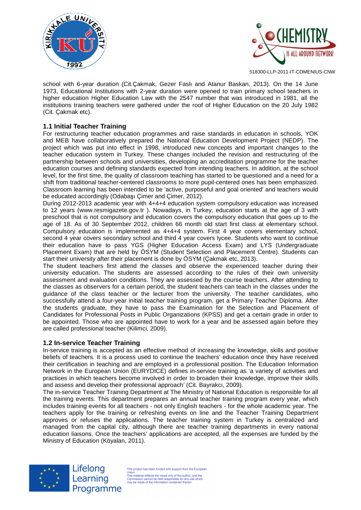



school with 6-year duration (Cit.Çakmak, Gezer Faslı and Atanur Baskan, 2013). On the 14 June 1973, Educational Institutions with 2-year duration were opened to train primary school teachers in higher education Higher Education Law with the 2547 number that was introduced in 1981, all the institutions training teachers were gathered under the roof of Higher Education on the 20 July 1982 (Cit. Çakmak etc).

#### **1.1 Initial Teacher Training**

For restructuring teacher education programmes and raise standards in education in schools, YOK and MEB have collaboratively prepared the National Education Development Project (NEDP). The project which was put into effect in 1998, introduced new concepts and important changes to the teacher education system in Turkey. These changes included the revision and restructuring of the partnership between schools and universities, developing an accreditation programme for the teacher education courses and defining standards expected from intending teachers. In addition, at the school level, for the first time, the quality of classroom teaching has started to be questioned and a need for a shift from traditional teacher-centered classrooms to more pupil-centered ones has been emphasized. Classroom learning has been intended to be 'active, purposeful and goal oriented' and teachers would be educated accordingly (Odabaşı Çimer and Çimer, 2012).

During 2012-2013 academic year with 4+4+4 education system compulsory education was increased to 12 years (www.resmigazete.gov.tr ). Nowadays, in Turkey, education starts at the age of 3 with preschool that is not compulsory and education covers the compulsory education that goes up to the age of 18. As of 30 September 2012, children 66 month old start first class at elementary school. Compulsory education is implemented as 4+4+4 system. First 4 year covers elementary school, second 4 year covers secondary school and third 4 year covers lycee. Students who want to continue their education have to pass YGS (Higher Education Access Exam) and LYS (Undergraduate Placement Exam) that are held by ÖSYM (Student Selection and Placement Centre). Students can start their university after their placement is done by ÖSYM (Çakmak etc, 2013).

The student teachers first attend the classes and observe the experienced teacher during their university education. The students are assessed according to the rules of their own university assessment and evaluation conditions. They are assessed by the course teachers. After attending to the classes as observers for a certain period, the student teachers can teach in the classes under the guidance of the class teacher or the lecturer from the university. The teacher candidates, who successfully attend a four-year initial teacher training program, get a Primary Teacher Diploma. After the students graduate, they have to pass the Examination for the Selection and Placement of Candidates for Professional Posts in Public Organizations (KPSS) and get a certain grade in order to be appointed. Those who are appointed have to work for a year and be assessed again before they are called professional teacher (Kilimci, 2009).

#### **1.2 In-service Teacher Training**

In-service training is accepted as an effective method of increasing the knowledge, skills and positive beliefs of teachers. It is a process used to continue the teachers' education once they have received their certification in teaching and are employed in a professional position. The Education Information Network in the European Union (EURYDICE) defines in-service training as 'a variety of activities and practices in which teachers become involved in order to broaden their knowledge, improve their skills and assess and develop their professional approach' (Cit. Bayrakcı, 2009).

The in-service Teacher Training Department at The Ministry of National Education is responsible for all the training events. This department prepares an annual teacher training program every year, which includes training events for all teachers - not only English teachers - for the whole academic year. The teachers apply for the training or refreshing events on line and the Teacher Training Department approves or refuses the applications. The teacher training system in Turkey is centralized and managed from the capital city, although there are teacher training departments in every national education liaisons. Once the teachers' applications are accepted, all the expenses are funded by the Ministry of Education (Köyalan, 2011).



Lifelong Learning Programme

This project has been funded with support from the Europear This project has been funded with support from the Europe<br>Union.<br>This material reflects the views only of the author, and the<br>Commission cannot be held responsible for any use which<br>may be made of the information contained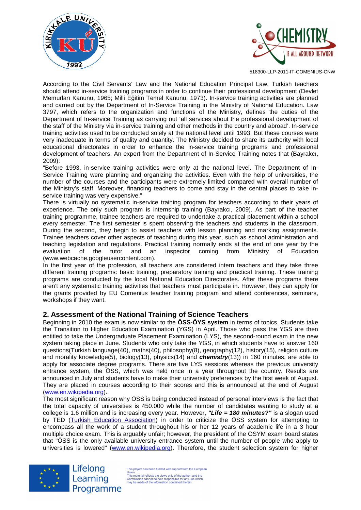



According to the Civil Servants' Law and the National Education Principal Law, Turkish teachers should attend in-service training programs in order to continue their professional development (Devlet Memurları Kanunu, 1965; Milli Eğitim Temel Kanunu, 1973). In-service training activities are planned and carried out by the Department of In-Service Training in the Ministry of National Education. Law 3797, which refers to the organization and functions of the Ministry, defines the duties of the Department of In-service Training as carrying out 'all services about the professional development of the staff of the Ministry via in-service training and other methods in the country and abroad'. In-service training activities used to be conducted solely at the national level until 1993. But these courses were very inadequate in terms of quality and quantity. The Ministry decided to share its authority with local educational directorates in order to enhance the in-service training programs and professional development of teachers. An expert from the Department of In-Service Training notes that (Bayrakcı, 2009):

"Before 1993, in-service training activities were only at the national level. The Department of In-Service Training were planning and organizing the activities. Even with the help of universities, the number of the courses and the participants were extremely limited compared with overall number of the Ministry's staff. Moreover, financing teachers to come and stay in the central places to take inservice training was very expensive."

There is virtually no systematic in-service training program for teachers according to their years of experience. The only such program is internship training (Bayrakcı, 2009). As part of the teacher training programme, trainee teachers are required to undertake a practical placement within a school every semester. The first semester is spent observing the teachers and students in the classroom. During the second, they begin to assist teachers with lesson planning and marking assignments. Trainee teachers cover other aspects of teaching during this year, such as school administration and teaching legislation and regulations. Practical training normally ends at the end of one year by the evaluation of the tutor and an inspector coming from Ministry of Education (www.webcache.googleusercontent.com).

In the first year of the profession, all teachers are considered intern teachers and they take three different training programs: basic training, preparatory training and practical training. These training programs are conducted by the local National Education Directorates. After these programs there aren't any systematic training activities that teachers must participate in. However, they can apply for the grants provided by EU Comenius teacher training program and attend conferences, seminars, workshops if they want.

#### **2. Assessment of the National Training of Science Teachers**

Beginning in 2010 the exam is now similar to the **ÖSS-ÖYS system** in terms of topics. Students take the Transition to Higher Education Examination (YGS) in April. Those who pass the YGS are then entitled to take the Undergraduate Placement Examination (LYS), the second-round exam in the new system taking place in June. Students who only take the YGS, in which students have to answer 160 questions(Turkish language(40), maths(40), philosophy(8), geography(12), history(15), religion culture and morality knowledge(5), biology(13), physics(14) and **chemistry**(13)) in 160 minutes, are able to apply for associate degree programs. There are five LYS sessions whereas the previous university entrance system, the ÖSS, which was held once in a year throughout the country. Results are announced in July and students have to make their university preferences by the first week of August. They are placed in courses according to their scores and this is announced at the end of August (www.en.wikipedia.org).

The most significant reason why ÖSS is being conducted instead of personal interviews is the fact that the total capacity of universities is 450.000 while the number of candidates wanting to study at a college is 1.6 million and is increasing every year. However, **"Life = 180 minutes?"** is a slogan used by TED (Turkish Education Association) in order to criticize the ÖSS system for attempting to encompass all the work of a student throughout his or her 12 years of academic life in a 3 hour multiple choice exam. This is arguably unfair; however, the president of the ÖSYM exam board states that "ÖSS is the only available university entrance system until the number of people who apply to universities is lowered" (www.en.wikipedia.org). Therefore, the student selection system for higher



Lifelong Learning Programme

This project has been funded with support from the European This project has been funded with support from the Europe<br>Union.<br>This material reflects the views only of the author, and the<br>Commission cannot be held responsible for any use which<br>may be made of the information contained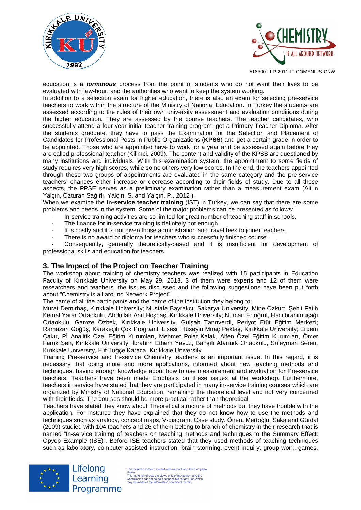



education is a **torminous** process from the point of students who do not want their lives to be evaluated with few-hour, and the authorities who want to keep the system working.

In addition to a selection exam for higher education, there is also an exam for selecting pre-service teachers to work within the structure of the Ministry of National Education. In Turkey the students are assessed according to the rules of their own university assessment and evaluation conditions during the higher education. They are assessed by the course teachers. The teacher candidates, who successfully attend a four-year initial teacher training program, get a Primary Teacher Diploma. After the students graduate, they have to pass the Examination for the Selection and Placement of Candidates for Professional Posts in Public Organizations (**KPSS**) and get a certain grade in order to be appointed. Those who are appointed have to work for a year and be assessed again before they are called professional teacher (Kilimci, 2009). The content and validity of the KPSS are questioned by many institutions and individuals. With this examination system, the appointment to some fields of study requires very high scores, while some others very low scores. In the end, the teachers appointed through these two groups of appointments are evaluated in the same category and the pre-service teachers' chances either increase or decrease according to their fields of study. Due to all these aspects, the PPSE serves as a preliminary examination rather than a measurement exam (Altun Yalçın, Özturan Sağırlı, Yalçın, S. and Yalçın, P., 2012 ).

When we examine the **in-service teacher training** (IST) in Turkey, we can say that there are some problems and needs in the system. Some of the major problems can be presented as follows:

- In-service training activities are so limited for great number of teaching staff in schools.
- The finance for in-service training is definitely not enough.
- It is costly and it is not given those administration and travel fees to joiner teachers.
- There is no award or diploma for teachers who successfully finished course.

Consequently, generally theoretically-based and it is insufficient for development of professional skills and education for teachers.

#### **3. The Impact of the Project on Teacher Training**

The workshop about training of chemistry teachers was realized with 15 participants in Education Faculty of Kırıkkale University on May 29, 2013. 3 of them were experts and 12 of them were researchers and teachers. the issues discussed and the following suggestions have been put forth about "Chemistry is all around Network Project".

The name of all the participants and the name of the institution they belong to;

Murat Demirbaş, Kırıkkale University; Mustafa Bayrakcı, Sakarya University; Mine Özkurt, Şehit Fatih Kemal Yarar Ortaokulu, Abdullah Anıl Hoşbaş, Kırıkkale University; Nurcan Ertuğrul, Hacıibrahimuşağı Ortaokulu, Gamze Özbek, Kırıkkale University, Gülşah Tanrıverdi, Periyot Etüt Eğitim Merkezi; Ramazan Göğüş, Karakeçili Çok Programlı Lisesi; Hüseyin Miraç Pektaş, Kırıkkale University; Erdem Çakır, Pİ Analitik Özel Eğitim Kurumları, Mehmet Polat Kalak, Alfen Özel Eğitim Kurumları, Ömer Faruk Şen, Kırıkkale University, İbrahim Ethem Yavuz, Bahşılı Atartürk Ortaokulu, Süleyman Seren, Kırıkkale University, Elif Tuğçe Karaca, Kırıkkale University.

Training Pre-service and In-service Chemistry teachers is an important issue. In this regard, it is necessary that doing more and more applications, informed about new teaching methods and techniques, having enough knowledge about how to use measurement and evaluation for Pre-service teachers. Teachers have been made Emphasis on these issues at the workshop. Furthermore, teachers in service have stated that they are participated in many in-service training courses which are organized by Ministry of National Education, remaining the theoretical level and not very concerned with their fields. The courses should be more practical rather than theoretical.

Teachers have stated they know about Theoretical structure of methods but they have trouble with the application. For instance they have explained that they do not know how to use the methods and techniques such as analogy, concept maps, V-diagram, Case study. Önen, Mertoğlu, Saka and Gürdal (2009) studied with 104 teachers and 26 of them belong to branch of chemistry in their research that is named "In-service training of teachers on teaching methods and techniques to the Summary Effect: Öpyep Example (ISE)". Before ISE teachers stated that they used methods of teaching techniques such as laboratory, computer-assisted instruction, brain storming, event inquiry, group work, games,



Lifelong Learning Programme

This project has been funded with support from the European This project has been funded with support from the Europe<br>Union.<br>This material reflects the views only of the author, and the<br>Commission cannot be held responsible for any use which<br>may be made of the information contained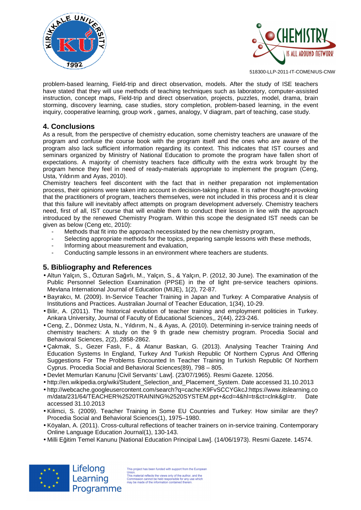



problem-based learning, Field-trip and direct observation, models. After the study of ISE teachers have stated that they will use methods of teaching techniques such as laboratory, computer-assisted instruction, concept maps, Field-trip and direct observation, projects, puzzles, model, drama, brain storming, discovery learning, case studies, story completion, problem-based learning, in the event inquiry, cooperative learning, group work , games, analogy, V diagram, part of teaching, case study.

### **4. Conclusions**

As a result, from the perspective of chemistry education, some chemistry teachers are unaware of the program and confuse the course book with the program itself and the ones who are aware of the program also lack sufficient information regarding its context. This indicates that IST courses and seminars organized by Ministry of National Education to promote the program have fallen short of expectations. A majority of chemistry teachers face difficulty with the extra work brought by the program hence they feel in need of ready-materials appropriate to implement the program (Ceng, Usta, Yıldırım and Ayas, 2010).

Chemistry teachers feel discontent with the fact that in neither preparation not implementation process, their opinions were taken into account in decision-taking phase. It is rather thought-provoking that the practitioners of program, teachers themselves, were not included in this process and it is clear that this failure will inevitably affect attempts on program development adversely. Chemistry teachers need, first of all, IST course that will enable them to conduct their lesson in line with the approach introduced by the renewed Chemistry Program. Within this scope the designated IST needs can be given as below (Ceng etc, 2010):

- Methods that fit into the approach necessitated by the new chemistry program,
- Selecting appropriate methods for the topics, preparing sample lessons with these methods,
- Informing about measurement and evaluation,
- Conducting sample lessons in an environment where teachers are students.

# **5. Bibliography and References**

- Altun Yalçın, S., Özturan Sağırlı, M., Yalçın, S., & Yalçın, P. (2012, 30 June). The examination of the Public Personnel Selection Examination (PPSE) in the of light pre-service teachers opinions. Mevlana International Journal of Education (MIJE), 1(2), 72-87.
- Bayrakcı, M. (2009). In-Service Teacher Training in Japan and Turkey: A Comparative Analysis of Institutions and Practices. Australian Journal of Teacher Education, 1(34), 10-29.
- Bilir, A. (2011). The historical evolution of teacher training and employment politicies in Turkey. Ankara University, Journal of Faculty of Educational Sciences,, 2(44), 223-246.
- Ceng, Z., Dönmez Usta, N., Yıldırım, N., & Ayas, A. (2010). Determining in-service training needs of chemistry teachers: A study on the 9 th grade new chemistry program. Procedia Social and Behavioral Sciences, 2(2), 2858-2862.
- Çakmak, S., Gezer Faslı, F., & Atanur Baskan, G. (2013). Analysing Teacher Training And Education Systems In England, Turkey And Turkish Republic Of Northern Cyprus And Offering Suggestions For The Problems Encounted In Teacher Training In Turkish Republic Of Northern Cyprus. Procedia Social and Behavioral Sciences(89), 798 – 805.
- Devlet Memurları Kanunu [Civil Servants' Law]. (23/07/1965). Resmi Gazete. 12056.
- http://en.wikipedia.org/wiki/Student\_Selection\_and\_Placement\_System. Date accessed 31.10.2013
- http://webcache.googleusercontent.com/search?q=cache:K9FvSCCYGkcJ:https://www.itslearning.co m/data/231/64/TEACHER%2520TRAINING%2520SYSTEM.ppt+&cd=4&hl=tr&ct=clnk&gl=tr. Date accessed 31.10.2013
- Kilimci, S. (2009). Teacher Training in Some EU Countries and Turkey: How similar are they? Procedia Social and Behavioral Sciences(1), 1975–1980.
- Köyalan, A. (2011). Cross-cultural reflections of teacher trainers on in-service training. Contemporary Online Language Education Journal(1), 130-143.
- Milli Eğitim Temel Kanunu [National Education Principal Law]. (14/06/1973). Resmi Gazete. 14574.



Lifelong Learning Programme

This project has been funded with support from the Europear This project has been funded with support from the Europ<br>Union.<br>This material reflects the views only of the author, and the<br>Commission cannot be held responsible for any use which<br>may be made of the information contained